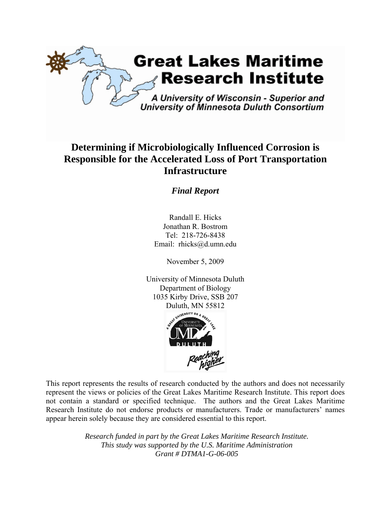

# **Determining if Microbiologically Influenced Corrosion is Responsible for the Accelerated Loss of Port Transportation Infrastructure**

## *Final Report*

Randall E. Hicks Jonathan R. Bostrom Tel: 218-726-8438 Email: rhicks@d.umn.edu

November 5, 2009

University of Minnesota Duluth Department of Biology 1035 Kirby Drive, SSB 207 Duluth, MN 55812



This report represents the results of research conducted by the authors and does not necessarily represent the views or policies of the Great Lakes Maritime Research Institute. This report does not contain a standard or specified technique. The authors and the Great Lakes Maritime Research Institute do not endorse products or manufacturers. Trade or manufacturers' names appear herein solely because they are considered essential to this report.

> *Research funded in part by the Great Lakes Maritime Research Institute. This study was supported by the U.S. Maritime Administration Grant # DTMA1-G-06-005*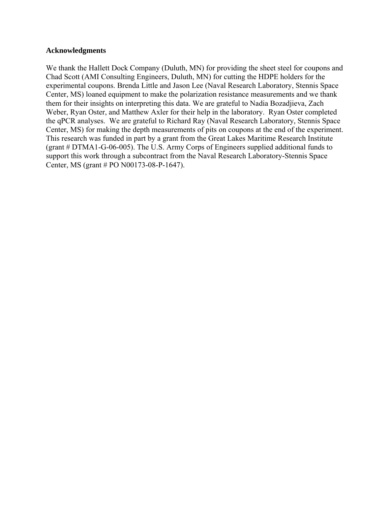#### **Acknowledgments**

We thank the Hallett Dock Company (Duluth, MN) for providing the sheet steel for coupons and Chad Scott (AMI Consulting Engineers, Duluth, MN) for cutting the HDPE holders for the experimental coupons. Brenda Little and Jason Lee (Naval Research Laboratory, Stennis Space Center, MS) loaned equipment to make the polarization resistance measurements and we thank them for their insights on interpreting this data. We are grateful to Nadia Bozadjieva, Zach Weber, Ryan Oster, and Matthew Axler for their help in the laboratory. Ryan Oster completed the qPCR analyses. We are grateful to Richard Ray (Naval Research Laboratory, Stennis Space Center, MS) for making the depth measurements of pits on coupons at the end of the experiment. This research was funded in part by a grant from the Great Lakes Maritime Research Institute (grant # DTMA1-G-06-005). The U.S. Army Corps of Engineers supplied additional funds to support this work through a subcontract from the Naval Research Laboratory-Stennis Space Center, MS (grant # PO N00173-08-P-1647).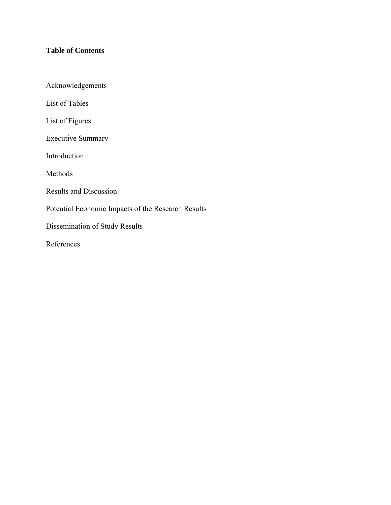## **Table of Contents**

Acknowledgements

List of Tables

List of Figures

Executive Summary

Introduction

Methods

Results and Discussion

Potential Economic Impacts of the Research Results

Dissemination of Study Results

References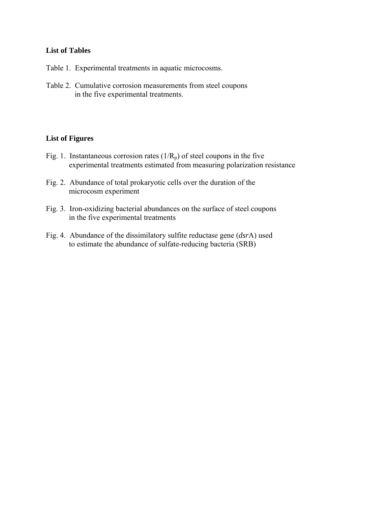## **List of Tables**

- Table 1. Experimental treatments in aquatic microcosms.
- Table 2. Cumulative corrosion measurements from steel coupons in the five experimental treatments.

#### **List of Figures**

- Fig. 1. Instantaneous corrosion rates  $(1/R_p)$  of steel coupons in the five experimental treatments estimated from measuring polarization resistance
- Fig. 2. Abundance of total prokaryotic cells over the duration of the microcosm experiment
- Fig. 3. Iron-oxidizing bacterial abundances on the surface of steel coupons in the five experimental treatments
- Fig. 4. Abundance of the dissimilatory sulfite reductase gene (*dsr*A) used to estimate the abundance of sulfate-reducing bacteria (SRB)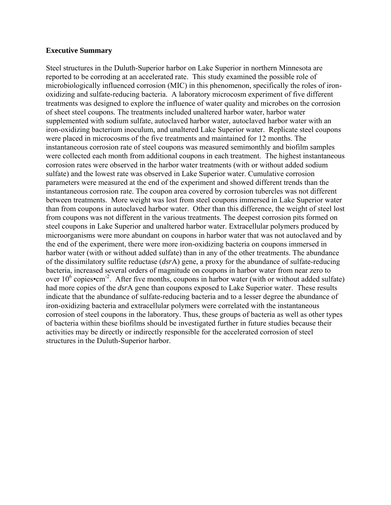#### **Executive Summary**

Steel structures in the Duluth-Superior harbor on Lake Superior in northern Minnesota are reported to be corroding at an accelerated rate. This study examined the possible role of microbiologically influenced corrosion (MIC) in this phenomenon, specifically the roles of ironoxidizing and sulfate-reducing bacteria. A laboratory microcosm experiment of five different treatments was designed to explore the influence of water quality and microbes on the corrosion of sheet steel coupons. The treatments included unaltered harbor water, harbor water supplemented with sodium sulfate, autoclaved harbor water, autoclaved harbor water with an iron-oxidizing bacterium inoculum, and unaltered Lake Superior water. Replicate steel coupons were placed in microcosms of the five treatments and maintained for 12 months. The instantaneous corrosion rate of steel coupons was measured semimonthly and biofilm samples were collected each month from additional coupons in each treatment. The highest instantaneous corrosion rates were observed in the harbor water treatments (with or without added sodium sulfate) and the lowest rate was observed in Lake Superior water. Cumulative corrosion parameters were measured at the end of the experiment and showed different trends than the instantaneous corrosion rate. The coupon area covered by corrosion tubercles was not different between treatments. More weight was lost from steel coupons immersed in Lake Superior water than from coupons in autoclaved harbor water. Other than this difference, the weight of steel lost from coupons was not different in the various treatments. The deepest corrosion pits formed on steel coupons in Lake Superior and unaltered harbor water. Extracellular polymers produced by microorganisms were more abundant on coupons in harbor water that was not autoclaved and by the end of the experiment, there were more iron-oxidizing bacteria on coupons immersed in harbor water (with or without added sulfate) than in any of the other treatments. The abundance of the dissimilatory sulfite reductase (*dsr*A) gene, a proxy for the abundance of sulfate-reducing bacteria, increased several orders of magnitude on coupons in harbor water from near zero to over  $10^6$  copies•cm<sup>-2</sup>. After five months, coupons in harbor water (with or without added sulfate) had more copies of the *dsr*A gene than coupons exposed to Lake Superior water. These results indicate that the abundance of sulfate-reducing bacteria and to a lesser degree the abundance of iron-oxidizing bacteria and extracellular polymers were correlated with the instantaneous corrosion of steel coupons in the laboratory. Thus, these groups of bacteria as well as other types of bacteria within these biofilms should be investigated further in future studies because their activities may be directly or indirectly responsible for the accelerated corrosion of steel structures in the Duluth-Superior harbor.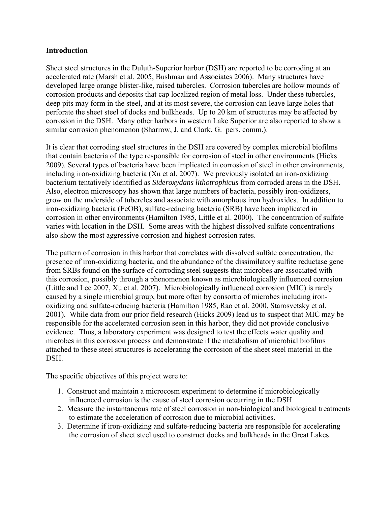#### **Introduction**

Sheet steel structures in the Duluth-Superior harbor (DSH) are reported to be corroding at an accelerated rate (Marsh et al. 2005, Bushman and Associates 2006). Many structures have developed large orange blister-like, raised tubercles. Corrosion tubercles are hollow mounds of corrosion products and deposits that cap localized region of metal loss. Under these tubercles, deep pits may form in the steel, and at its most severe, the corrosion can leave large holes that perforate the sheet steel of docks and bulkheads. Up to 20 km of structures may be affected by corrosion in the DSH. Many other harbors in western Lake Superior are also reported to show a similar corrosion phenomenon (Sharrow, J. and Clark, G. pers. comm.).

It is clear that corroding steel structures in the DSH are covered by complex microbial biofilms that contain bacteria of the type responsible for corrosion of steel in other environments (Hicks 2009). Several types of bacteria have been implicated in corrosion of steel in other environments, including iron-oxidizing bacteria (Xu et al. 2007). We previously isolated an iron-oxidizing bacterium tentatively identified as *Sideroxydans lithotrophicus* from corroded areas in the DSH. Also, electron microscopy has shown that large numbers of bacteria, possibly iron-oxidizers, grow on the underside of tubercles and associate with amorphous iron hydroxides. In addition to iron-oxidizing bacteria (FeOB), sulfate-reducing bacteria (SRB) have been implicated in corrosion in other environments (Hamilton 1985, Little et al. 2000). The concentration of sulfate varies with location in the DSH. Some areas with the highest dissolved sulfate concentrations also show the most aggressive corrosion and highest corrosion rates.

The pattern of corrosion in this harbor that correlates with dissolved sulfate concentration, the presence of iron-oxidizing bacteria, and the abundance of the dissimilatory sulfite reductase gene from SRBs found on the surface of corroding steel suggests that microbes are associated with this corrosion, possibly through a phenomenon known as microbiologically influenced corrosion (Little and Lee 2007, Xu et al. 2007). Microbiologically influenced corrosion (MIC) is rarely caused by a single microbial group, but more often by consortia of microbes including ironoxidizing and sulfate-reducing bacteria (Hamilton 1985, Rao et al. 2000, Starosvetsky et al. 2001). While data from our prior field research (Hicks 2009) lead us to suspect that MIC may be responsible for the accelerated corrosion seen in this harbor, they did not provide conclusive evidence. Thus, a laboratory experiment was designed to test the effects water quality and microbes in this corrosion process and demonstrate if the metabolism of microbial biofilms attached to these steel structures is accelerating the corrosion of the sheet steel material in the DSH.

The specific objectives of this project were to:

- 1. Construct and maintain a microcosm experiment to determine if microbiologically influenced corrosion is the cause of steel corrosion occurring in the DSH.
- 2. Measure the instantaneous rate of steel corrosion in non-biological and biological treatments to estimate the acceleration of corrosion due to microbial activities.
- 3. Determine if iron-oxidizing and sulfate-reducing bacteria are responsible for accelerating the corrosion of sheet steel used to construct docks and bulkheads in the Great Lakes.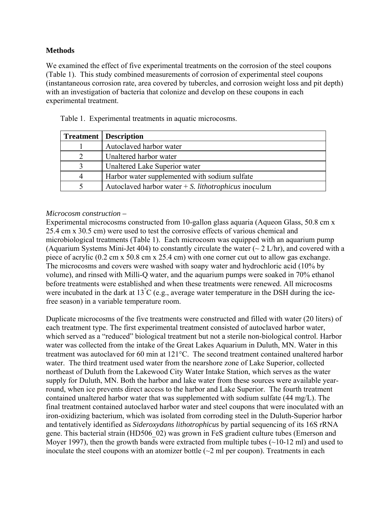## **Methods**

We examined the effect of five experimental treatments on the corrosion of the steel coupons (Table 1). This study combined measurements of corrosion of experimental steel coupons (instantaneous corrosion rate, area covered by tubercles, and corrosion weight loss and pit depth) with an investigation of bacteria that colonize and develop on these coupons in each experimental treatment.

|   | <b>Treatment</b>   Description                                 |
|---|----------------------------------------------------------------|
|   | Autoclaved harbor water                                        |
|   | Unaltered harbor water                                         |
|   | Unaltered Lake Superior water                                  |
| 4 | Harbor water supplemented with sodium sulfate                  |
|   | Autoclaved harbor water $+ S$ . <i>lithotrophicus</i> inoculum |

Table 1. Experimental treatments in aquatic microcosms.

## *Microcosm construction –*

Experimental microcosms constructed from 10-gallon glass aquaria (Aqueon Glass, 50.8 cm x 25.4 cm x 30.5 cm) were used to test the corrosive effects of various chemical and microbiological treatments (Table 1). Each microcosm was equipped with an aquarium pump (Aquarium Systems Mini-Jet 404) to constantly circulate the water  $\sim$  2 L/hr), and covered with a piece of acrylic (0.2 cm x 50.8 cm x 25.4 cm) with one corner cut out to allow gas exchange. The microcosms and covers were washed with soapy water and hydrochloric acid (10% by volume), and rinsed with Milli-Q water, and the aquarium pumps were soaked in 70% ethanol before treatments were established and when these treatments were renewed. All microcosms were incubated in the dark at  $13^{\circ}C$  (e.g., average water temperature in the DSH during the icefree season) in a variable temperature room.

Duplicate microcosms of the five treatments were constructed and filled with water (20 liters) of each treatment type. The first experimental treatment consisted of autoclaved harbor water, which served as a "reduced" biological treatment but not a sterile non-biological control. Harbor water was collected from the intake of the Great Lakes Aquarium in Duluth, MN. Water in this treatment was autoclaved for 60 min at 121°C. The second treatment contained unaltered harbor water. The third treatment used water from the nearshore zone of Lake Superior, collected northeast of Duluth from the Lakewood City Water Intake Station, which serves as the water supply for Duluth, MN. Both the harbor and lake water from these sources were available yearround, when ice prevents direct access to the harbor and Lake Superior. The fourth treatment contained unaltered harbor water that was supplemented with sodium sulfate (44 mg/L). The final treatment contained autoclaved harbor water and steel coupons that were inoculated with an iron-oxidizing bacterium, which was isolated from corroding steel in the Duluth-Superior harbor and tentatively identified as *Sideroxydans lithotrophicus* by partial sequencing of its 16S rRNA gene. This bacterial strain (HD506\_02) was grown in FeS gradient culture tubes (Emerson and Moyer 1997), then the growth bands were extracted from multiple tubes  $(\sim 10-12 \text{ ml})$  and used to inoculate the steel coupons with an atomizer bottle  $(\sim 2 \text{ ml per coupon})$ . Treatments in each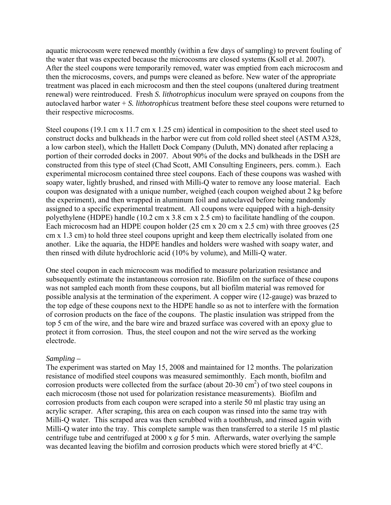aquatic microcosm were renewed monthly (within a few days of sampling) to prevent fouling of the water that was expected because the microcosms are closed systems (Ksoll et al. 2007). After the steel coupons were temporarily removed, water was emptied from each microcosm and then the microcosms, covers, and pumps were cleaned as before. New water of the appropriate treatment was placed in each microcosm and then the steel coupons (unaltered during treatment renewal) were reintroduced. Fresh *S. lithotrophicus* inoculum were sprayed on coupons from the autoclaved harbor water + *S. lithotrophicus* treatment before these steel coupons were returned to their respective microcosms.

Steel coupons (19.1 cm x 11.7 cm x 1.25 cm) identical in composition to the sheet steel used to construct docks and bulkheads in the harbor were cut from cold rolled sheet steel (ASTM A328, a low carbon steel), which the Hallett Dock Company (Duluth, MN) donated after replacing a portion of their corroded docks in 2007. About 90% of the docks and bulkheads in the DSH are constructed from this type of steel (Chad Scott, AMI Consulting Engineers, pers. comm.). Each experimental microcosm contained three steel coupons. Each of these coupons was washed with soapy water, lightly brushed, and rinsed with Milli-Q water to remove any loose material. Each coupon was designated with a unique number, weighed (each coupon weighed about 2 kg before the experiment), and then wrapped in aluminum foil and autoclaved before being randomly assigned to a specific experimental treatment. All coupons were equipped with a high-density polyethylene (HDPE) handle (10.2 cm x 3.8 cm x 2.5 cm) to facilitate handling of the coupon. Each microcosm had an HDPE coupon holder (25 cm x 20 cm x 2.5 cm) with three grooves (25 cm x 1.3 cm) to hold three steel coupons upright and keep them electrically isolated from one another. Like the aquaria, the HDPE handles and holders were washed with soapy water, and then rinsed with dilute hydrochloric acid (10% by volume), and Milli-Q water.

One steel coupon in each microcosm was modified to measure polarization resistance and subsequently estimate the instantaneous corrosion rate. Biofilm on the surface of these coupons was not sampled each month from these coupons, but all biofilm material was removed for possible analysis at the termination of the experiment. A copper wire (12-gauge) was brazed to the top edge of these coupons next to the HDPE handle so as not to interfere with the formation of corrosion products on the face of the coupons. The plastic insulation was stripped from the top 5 cm of the wire, and the bare wire and brazed surface was covered with an epoxy glue to protect it from corrosion. Thus, the steel coupon and not the wire served as the working electrode.

#### *Sampling –*

The experiment was started on May 15, 2008 and maintained for 12 months. The polarization resistance of modified steel coupons was measured semimonthly. Each month, biofilm and corrosion products were collected from the surface (about  $20-30 \text{ cm}^2$ ) of two steel coupons in each microcosm (those not used for polarization resistance measurements). Biofilm and corrosion products from each coupon were scraped into a sterile 50 ml plastic tray using an acrylic scraper. After scraping, this area on each coupon was rinsed into the same tray with Milli-Q water. This scraped area was then scrubbed with a toothbrush, and rinsed again with Milli-Q water into the tray. This complete sample was then transferred to a sterile 15 ml plastic centrifuge tube and centrifuged at 2000 x *g* for 5 min. Afterwards, water overlying the sample was decanted leaving the biofilm and corrosion products which were stored briefly at 4°C.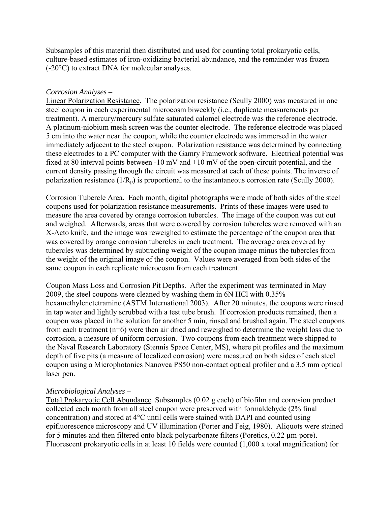Subsamples of this material then distributed and used for counting total prokaryotic cells, culture-based estimates of iron-oxidizing bacterial abundance, and the remainder was frozen (-20°C) to extract DNA for molecular analyses.

#### *Corrosion Analyses –*

Linear Polarization Resistance. The polarization resistance (Scully 2000) was measured in one steel coupon in each experimental microcosm biweekly (i.e., duplicate measurements per treatment). A mercury/mercury sulfate saturated calomel electrode was the reference electrode. A platinum-niobium mesh screen was the counter electrode. The reference electrode was placed 5 cm into the water near the coupon, while the counter electrode was immersed in the water immediately adjacent to the steel coupon. Polarization resistance was determined by connecting these electrodes to a PC computer with the Gamry Framework software. Electrical potential was fixed at 80 interval points between -10 mV and +10 mV of the open-circuit potential, and the current density passing through the circuit was measured at each of these points. The inverse of polarization resistance  $(1/R_p)$  is proportional to the instantaneous corrosion rate (Scully 2000).

Corrosion Tubercle Area. Each month, digital photographs were made of both sides of the steel coupons used for polarization resistance measurements. Prints of these images were used to measure the area covered by orange corrosion tubercles. The image of the coupon was cut out and weighed. Afterwards, areas that were covered by corrosion tubercles were removed with an X-Acto knife, and the image was reweighed to estimate the percentage of the coupon area that was covered by orange corrosion tubercles in each treatment. The average area covered by tubercles was determined by subtracting weight of the coupon image minus the tubercles from the weight of the original image of the coupon. Values were averaged from both sides of the same coupon in each replicate microcosm from each treatment.

Coupon Mass Loss and Corrosion Pit Depths. After the experiment was terminated in May 2009, the steel coupons were cleaned by washing them in 6N HCl with 0.35% hexamethylenetetramine (ASTM International 2003). After 20 minutes, the coupons were rinsed in tap water and lightly scrubbed with a test tube brush. If corrosion products remained, then a coupon was placed in the solution for another 5 min, rinsed and brushed again. The steel coupons from each treatment (n=6) were then air dried and reweighed to determine the weight loss due to corrosion, a measure of uniform corrosion. Two coupons from each treatment were shipped to the Naval Research Laboratory (Stennis Space Center, MS), where pit profiles and the maximum depth of five pits (a measure of localized corrosion) were measured on both sides of each steel coupon using a Microphotonics Nanovea PS50 non-contact optical profiler and a 3.5 mm optical laser pen.

## *Microbiological Analyses –*

Total Prokaryotic Cell Abundance*.* Subsamples (0.02 g each) of biofilm and corrosion product collected each month from all steel coupon were preserved with formaldehyde (2% final concentration) and stored at 4°C until cells were stained with DAPI and counted using epifluorescence microscopy and UV illumination (Porter and Feig, 1980). Aliquots were stained for 5 minutes and then filtered onto black polycarbonate filters (Poretics, 0.22 µm-pore). Fluorescent prokaryotic cells in at least 10 fields were counted (1,000 x total magnification) for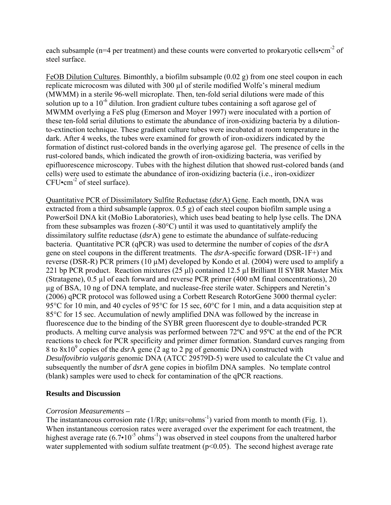each subsample (n=4 per treatment) and these counts were converted to prokaryotic cells•cm<sup>-2</sup> of steel surface.

FeOB Dilution Cultures. Bimonthly, a biofilm subsample (0.02 g) from one steel coupon in each replicate microcosm was diluted with 300 µl of sterile modified Wolfe's mineral medium (MWMM) in a sterile 96-well microplate. Then, ten-fold serial dilutions were made of this solution up to a  $10^{-6}$  dilution. Iron gradient culture tubes containing a soft agarose gel of MWMM overlying a FeS plug (Emerson and Moyer 1997) were inoculated with a portion of these ten-fold serial dilutions to estimate the abundance of iron-oxidizing bacteria by a dilutionto-extinction technique. These gradient culture tubes were incubated at room temperature in the dark. After 4 weeks, the tubes were examined for growth of iron-oxidizers indicated by the formation of distinct rust-colored bands in the overlying agarose gel. The presence of cells in the rust-colored bands, which indicated the growth of iron-oxidizing bacteria, was verified by epifluorescence microscopy. Tubes with the highest dilution that showed rust-colored bands (and cells) were used to estimate the abundance of iron-oxidizing bacteria (i.e., iron-oxidizer  $CFU \cdot cm^{-2}$  of steel surface).

Quantitative PCR of Dissimilatory Sulfite Reductase (*dsr*A) Gene. Each month, DNA was extracted from a third subsample (approx. 0.5 g) of each steel coupon biofilm sample using a PowerSoil DNA kit (MoBio Laboratories), which uses bead beating to help lyse cells. The DNA from these subsamples was frozen (-80°C) until it was used to quantitatively amplify the dissimilatory sulfite reductase (*dsr*A) gene to estimate the abundance of sulfate-reducing bacteria. Quantitative PCR (qPCR) was used to determine the number of copies of the *dsr*A gene on steel coupons in the different treatments. The *dsr*A-specific forward (DSR-1F+) and reverse (DSR-R) PCR primers (10  $\mu$ M) developed by Kondo et al. (2004) were used to amplify a 221 bp PCR product. Reaction mixtures (25 μl) contained 12.5 µl Brilliant II SYBR Master Mix (Stratagene), 0.5 µl of each forward and reverse PCR primer (400 nM final concentrations), 20 µg of BSA, 10 ng of DNA template, and nuclease-free sterile water. Schippers and Neretin's (2006) qPCR protocol was followed using a Corbett Research RotorGene 3000 thermal cycler: 95<sup>o</sup>C for 10 min, and 40 cycles of 95<sup>o</sup>C for 15 sec, 60<sup>o</sup>C for 1 min, and a data acquisition step at 85°C for 15 sec. Accumulation of newly amplified DNA was followed by the increase in fluorescence due to the binding of the SYBR green fluorescent dye to double-stranded PCR products. A melting curve analysis was performed between 72ºC and 95ºC at the end of the PCR reactions to check for PCR specificity and primer dimer formation. Standard curves ranging from 8 to  $8x10^9$  copies of the *dsr*A gene (2 ag to 2 pg of genomic DNA) constructed with *Desulfovibrio vulgaris* genomic DNA (ATCC 29579D-5) were used to calculate the Ct value and subsequently the number of *dsr*A gene copies in biofilm DNA samples. No template control (blank) samples were used to check for contamination of the qPCR reactions.

## **Results and Discussion**

#### *Corrosion Measurements –*

The instantaneous corrosion rate  $(1/Rp; units=ohms^{-1})$  varied from month to month (Fig. 1). When instantaneous corrosion rates were averaged over the experiment for each treatment, the highest average rate  $(6.7 \cdot 10^{-5} \text{ ohms}^{-1})$  was observed in steel coupons from the unaltered harbor water supplemented with sodium sulfate treatment  $(p<0.05)$ . The second highest average rate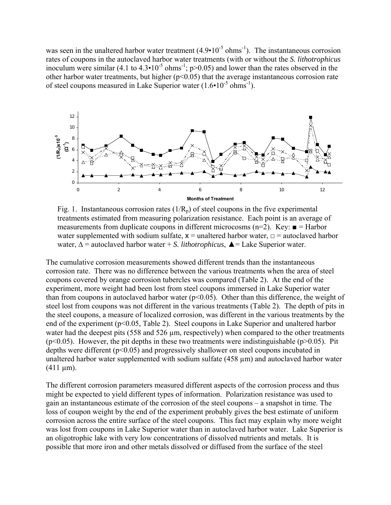was seen in the unaltered harbor water treatment  $(4.9 \cdot 10^{-5} \text{ ohms}^{-1})$ . The instantaneous corrosion rates of coupons in the autoclaved harbor water treatments (with or without the *S. lithotrophicus* inoculum were similar (4.1 to  $4.3 \cdot 10^{-5}$  ohms<sup>-1</sup>; p>0.05) and lower than the rates observed in the other harbor water treatments, but higher  $(p<0.05)$  that the average instantaneous corrosion rate of steel coupons measured in Lake Superior water  $(1.6 \cdot 10^{-5} \text{ ohms}^{-1})$ .



Fig. 1. Instantaneous corrosion rates  $(1/R_p)$  of steel coupons in the five experimental treatments estimated from measuring polarization resistance. Each point is an average of measurements from duplicate coupons in different microcosms (n=2). Key:  $\blacksquare$  = Harbor water supplemented with sodium sulfate,  $x =$  unaltered harbor water,  $\Box$  = autoclaved harbor water, ∆ = autoclaved harbor water + *S. lithotrophicus*, ▲= Lake Superior water.

The cumulative corrosion measurements showed different trends than the instantaneous corrosion rate. There was no difference between the various treatments when the area of steel coupons covered by orange corrosion tubercles was compared (Table 2). At the end of the experiment, more weight had been lost from steel coupons immersed in Lake Superior water than from coupons in autoclaved harbor water  $(p<0.05)$ . Other than this difference, the weight of steel lost from coupons was not different in the various treatments (Table 2). The depth of pits in the steel coupons, a measure of localized corrosion, was different in the various treatments by the end of the experiment (p<0.05, Table 2). Steel coupons in Lake Superior and unaltered harbor water had the deepest pits  $(558 \text{ and } 526 \mu \text{m})$ , respectively) when compared to the other treatments ( $p<0.05$ ). However, the pit depths in these two treatments were indistinguishable ( $p>0.05$ ). Pit depths were different (p<0.05) and progressively shallower on steel coupons incubated in unaltered harbor water supplemented with sodium sulfate (458 µm) and autoclaved harbor water  $(411 \mu m)$ .

The different corrosion parameters measured different aspects of the corrosion process and thus might be expected to yield different types of information. Polarization resistance was used to gain an instantaneous estimate of the corrosion of the steel coupons – a snapshot in time. The loss of coupon weight by the end of the experiment probably gives the best estimate of uniform corrosion across the entire surface of the steel coupons. This fact may explain why more weight was lost from coupons in Lake Superior water than in autoclaved harbor water. Lake Superior is an oligotrophic lake with very low concentrations of dissolved nutrients and metals. It is possible that more iron and other metals dissolved or diffused from the surface of the steel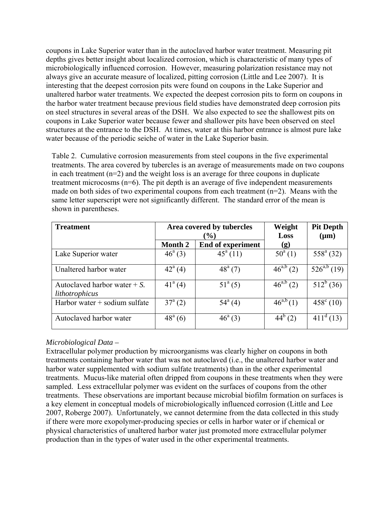coupons in Lake Superior water than in the autoclaved harbor water treatment. Measuring pit depths gives better insight about localized corrosion, which is characteristic of many types of microbiologically influenced corrosion. However, measuring polarization resistance may not always give an accurate measure of localized, pitting corrosion (Little and Lee 2007). It is interesting that the deepest corrosion pits were found on coupons in the Lake Superior and unaltered harbor water treatments. We expected the deepest corrosion pits to form on coupons in the harbor water treatment because previous field studies have demonstrated deep corrosion pits on steel structures in several areas of the DSH. We also expected to see the shallowest pits on coupons in Lake Superior water because fewer and shallower pits have been observed on steel structures at the entrance to the DSH. At times, water at this harbor entrance is almost pure lake water because of the periodic seiche of water in the Lake Superior basin.

Table 2. Cumulative corrosion measurements from steel coupons in the five experimental treatments. The area covered by tubercles is an average of measurements made on two coupons in each treatment (n=2) and the weight loss is an average for three coupons in duplicate treatment microcosms (n=6). The pit depth is an average of five independent measurements made on both sides of two experimental coupons from each treatment (n=2). Means with the same letter superscript were not significantly different. The standard error of the mean is shown in parentheses.

| <b>Treatment</b>                                  | Area covered by tubercles |                          | Weight         | <b>Pit Depth</b>       |
|---------------------------------------------------|---------------------------|--------------------------|----------------|------------------------|
|                                                   | $\frac{9}{0}$             |                          | Loss           | $(\mu m)$              |
|                                                   | Month 2                   | <b>End of experiment</b> | (g)            |                        |
| Lake Superior water                               | $46^{\circ}$ (3)          | $45^a(11)$               | $50^a(1)$      | $558^{\circ}$ (32)     |
| Unaltered harbor water                            | $42^{\circ}$ (4)          | $48^{\circ}$ (7)         | $46^{a,b} (2)$ | $526^{a,b}$ (19)       |
| Autoclaved harbor water $+ S$ .<br>lithotrophicus | $41^a(4)$                 | $51^a(5)$                | $46^{a,b} (2)$ | $\overline{51}2^b(36)$ |
| Harbor water + sodium sulfate                     | $37^{\circ}$ (2)          | $54^{\circ}$ (4)         | $46^{a,b}(1)$  | $458^{\circ}$ (10)     |
| Autoclaved harbor water                           | $48^{\circ}$ (6)          | $46^{\circ}$ (3)         | $44^b(2)$      | $411^d(13)$            |

## *Microbiological Data –*

Extracellular polymer production by microorganisms was clearly higher on coupons in both treatments containing harbor water that was not autoclaved (i.e., the unaltered harbor water and harbor water supplemented with sodium sulfate treatments) than in the other experimental treatments. Mucus-like material often dripped from coupons in these treatments when they were sampled. Less extracellular polymer was evident on the surfaces of coupons from the other treatments. These observations are important because microbial biofilm formation on surfaces is a key element in conceptual models of microbiologically influenced corrosion (Little and Lee 2007, Roberge 2007). Unfortunately, we cannot determine from the data collected in this study if there were more exopolymer-producing species or cells in harbor water or if chemical or physical characteristics of unaltered harbor water just promoted more extracellular polymer production than in the types of water used in the other experimental treatments.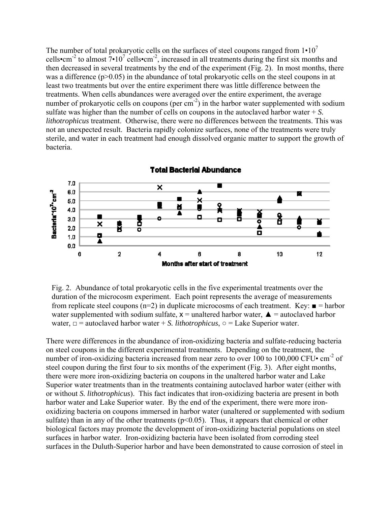The number of total prokaryotic cells on the surfaces of steel coupons ranged from  $1 \cdot 10^7$ cells•cm<sup>-2</sup> to almost  $7 \cdot 10^7$  cells•cm<sup>-2</sup>, increased in all treatments during the first six months and then decreased in several treatments by the end of the experiment (Fig. 2). In most months, there was a difference  $(p>0.05)$  in the abundance of total prokaryotic cells on the steel coupons in at least two treatments but over the entire experiment there was little difference between the treatments. When cells abundances were averaged over the entire experiment, the average number of prokaryotic cells on coupons (per  $cm^{-2}$ ) in the harbor water supplemented with sodium sulfate was higher than the number of cells on coupons in the autoclaved harbor water + *S. lithotrophicus* treatment. Otherwise, there were no differences between the treatments. This was not an unexpected result. Bacteria rapidly colonize surfaces, none of the treatments were truly sterile, and water in each treatment had enough dissolved organic matter to support the growth of bacteria.



Fig. 2. Abundance of total prokaryotic cells in the five experimental treatments over the duration of the microcosm experiment. Each point represents the average of measurements from replicate steel coupons (n=2) in duplicate microcosms of each treatment. Key:  $\blacksquare$  = harbor water supplemented with sodium sulfate,  $x =$  unaltered harbor water,  $\triangle$  = autoclaved harbor water,  $\Box$  = autoclaved harbor water + *S. lithotrophicus*,  $\circ$  = Lake Superior water.

There were differences in the abundance of iron-oxidizing bacteria and sulfate-reducing bacteria on steel coupons in the different experimental treatments. Depending on the treatment, the number of iron-oxidizing bacteria increased from near zero to over 100 to 100,000 CFU $\cdot$  cm<sup>-2</sup> of steel coupon during the first four to six months of the experiment (Fig. 3). After eight months, there were more iron-oxidizing bacteria on coupons in the unaltered harbor water and Lake Superior water treatments than in the treatments containing autoclaved harbor water (either with or without *S. lithotrophicus*). This fact indicates that iron-oxidizing bacteria are present in both harbor water and Lake Superior water. By the end of the experiment, there were more ironoxidizing bacteria on coupons immersed in harbor water (unaltered or supplemented with sodium sulfate) than in any of the other treatments ( $p<0.05$ ). Thus, it appears that chemical or other biological factors may promote the development of iron-oxidizing bacterial populations on steel surfaces in harbor water. Iron-oxidizing bacteria have been isolated from corroding steel surfaces in the Duluth-Superior harbor and have been demonstrated to cause corrosion of steel in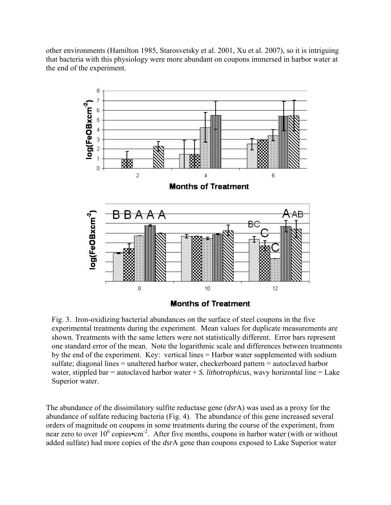other environments (Hamilton 1985, Starosvetsky et al. 2001, Xu et al. 2007), so it is intriguing that bacteria with this physiology were more abundant on coupons immersed in harbor water at the end of the experiment.



Fig. 3. Iron-oxidizing bacterial abundances on the surface of steel coupons in the five experimental treatments during the experiment. Mean values for duplicate measurements are shown. Treatments with the same letters were not statistically different. Error bars represent one standard error of the mean. Note the logarithmic scale and differences between treatments by the end of the experiment. Key: vertical lines = Harbor water supplemented with sodium sulfate; diagonal lines = unaltered harbor water, checkerboard pattern = autoclaved harbor water, stippled bar = autoclaved harbor water + *S. lithotrophicus*, wavy horizontal line = Lake Superior water.

The abundance of the dissimilatory sulfite reductase gene (*dsr*A) was used as a proxy for the abundance of sulfate reducing bacteria (Fig. 4). The abundance of this gene increased several orders of magnitude on coupons in some treatments during the course of the experiment, from near zero to over  $10^6$  copies•cm<sup>-2</sup>. After five months, coupons in harbor water (with or without added sulfate) had more copies of the *dsr*A gene than coupons exposed to Lake Superior water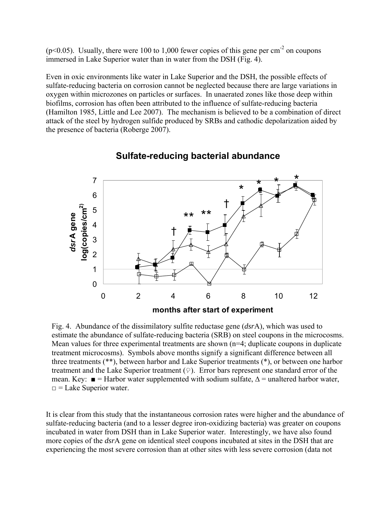$(p<0.05)$ . Usually, there were 100 to 1,000 fewer copies of this gene per cm<sup>-2</sup> on coupons immersed in Lake Superior water than in water from the DSH (Fig. 4).

Even in oxic environments like water in Lake Superior and the DSH, the possible effects of sulfate-reducing bacteria on corrosion cannot be neglected because there are large variations in oxygen within microzones on particles or surfaces. In unaerated zones like those deep within biofilms, corrosion has often been attributed to the influence of sulfate-reducing bacteria (Hamilton 1985, Little and Lee 2007). The mechanism is believed to be a combination of direct attack of the steel by hydrogen sulfide produced by SRBs and cathodic depolarization aided by the presence of bacteria (Roberge 2007).



## **Sulfate-reducing bacterial abundance**

Fig. 4. Abundance of the dissimilatory sulfite reductase gene (*dsr*A), which was used to estimate the abundance of sulfate-reducing bacteria (SRB) on steel coupons in the microcosms. Mean values for three experimental treatments are shown (n=4; duplicate coupons in duplicate treatment microcosms). Symbols above months signify a significant difference between all three treatments (\*\*), between harbor and Lake Superior treatments (\*), or between one harbor treatment and the Lake Superior treatment  $(\varphi)$ . Error bars represent one standard error of the mean. Key:  $\blacksquare$  = Harbor water supplemented with sodium sulfate,  $\Delta$  = unaltered harbor water,  $\Box$  = Lake Superior water.

It is clear from this study that the instantaneous corrosion rates were higher and the abundance of sulfate-reducing bacteria (and to a lesser degree iron-oxidizing bacteria) was greater on coupons incubated in water from DSH than in Lake Superior water. Interestingly, we have also found more copies of the *dsr*A gene on identical steel coupons incubated at sites in the DSH that are experiencing the most severe corrosion than at other sites with less severe corrosion (data not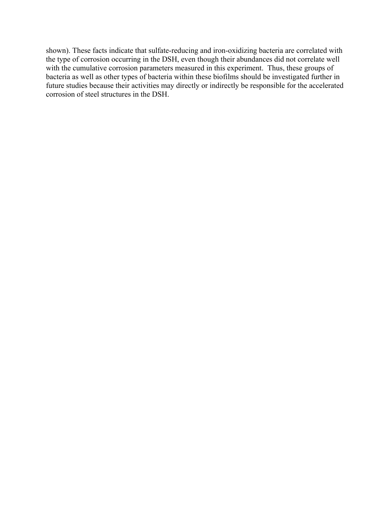shown). These facts indicate that sulfate-reducing and iron-oxidizing bacteria are correlated with the type of corrosion occurring in the DSH, even though their abundances did not correlate well with the cumulative corrosion parameters measured in this experiment. Thus, these groups of bacteria as well as other types of bacteria within these biofilms should be investigated further in future studies because their activities may directly or indirectly be responsible for the accelerated corrosion of steel structures in the DSH.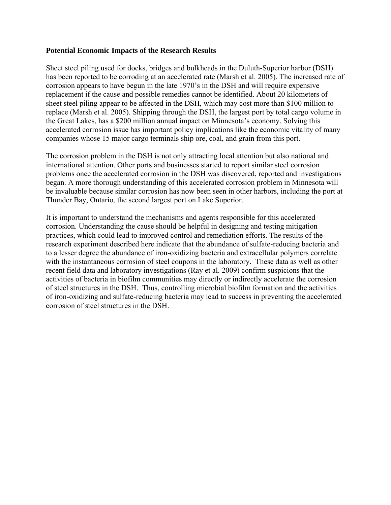#### **Potential Economic Impacts of the Research Results**

Sheet steel piling used for docks, bridges and bulkheads in the Duluth-Superior harbor (DSH) has been reported to be corroding at an accelerated rate (Marsh et al. 2005). The increased rate of corrosion appears to have begun in the late 1970's in the DSH and will require expensive replacement if the cause and possible remedies cannot be identified. About 20 kilometers of sheet steel piling appear to be affected in the DSH, which may cost more than \$100 million to replace (Marsh et al. 2005). Shipping through the DSH, the largest port by total cargo volume in the Great Lakes, has a \$200 million annual impact on Minnesota's economy. Solving this accelerated corrosion issue has important policy implications like the economic vitality of many companies whose 15 major cargo terminals ship ore, coal, and grain from this port.

The corrosion problem in the DSH is not only attracting local attention but also national and international attention. Other ports and businesses started to report similar steel corrosion problems once the accelerated corrosion in the DSH was discovered, reported and investigations began. A more thorough understanding of this accelerated corrosion problem in Minnesota will be invaluable because similar corrosion has now been seen in other harbors, including the port at Thunder Bay, Ontario, the second largest port on Lake Superior.

It is important to understand the mechanisms and agents responsible for this accelerated corrosion. Understanding the cause should be helpful in designing and testing mitigation practices, which could lead to improved control and remediation efforts. The results of the research experiment described here indicate that the abundance of sulfate-reducing bacteria and to a lesser degree the abundance of iron-oxidizing bacteria and extracellular polymers correlate with the instantaneous corrosion of steel coupons in the laboratory. These data as well as other recent field data and laboratory investigations (Ray et al. 2009) confirm suspicions that the activities of bacteria in biofilm communities may directly or indirectly accelerate the corrosion of steel structures in the DSH. Thus, controlling microbial biofilm formation and the activities of iron-oxidizing and sulfate-reducing bacteria may lead to success in preventing the accelerated corrosion of steel structures in the DSH.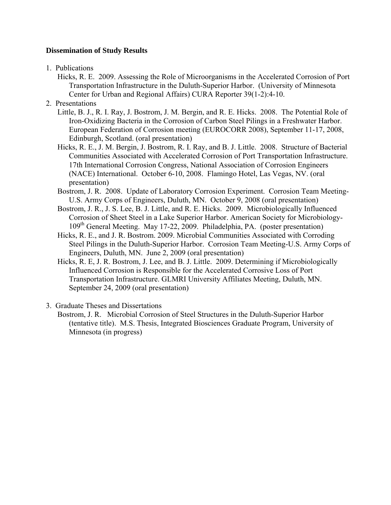### **Dissemination of Study Results**

- 1. Publications
	- Hicks, R. E. 2009. Assessing the Role of Microorganisms in the Accelerated Corrosion of Port Transportation Infrastructure in the Duluth-Superior Harbor. (University of Minnesota Center for Urban and Regional Affairs) CURA Reporter 39(1-2):4-10.
- 2. Presentations
	- Little, B. J., R. I. Ray, J. Bostrom, J. M. Bergin, and R. E. Hicks. 2008. The Potential Role of Iron-Oxidizing Bacteria in the Corrosion of Carbon Steel Pilings in a Freshwater Harbor. European Federation of Corrosion meeting (EUROCORR 2008), September 11-17, 2008, Edinburgh, Scotland. (oral presentation)
	- Hicks, R. E., J. M. Bergin, J. Bostrom, R. I. Ray, and B. J. Little. 2008. Structure of Bacterial Communities Associated with Accelerated Corrosion of Port Transportation Infrastructure. 17th International Corrosion Congress, National Association of Corrosion Engineers (NACE) International. October 6-10, 2008. Flamingo Hotel, Las Vegas, NV. (oral presentation)
	- Bostrom, J. R. 2008. Update of Laboratory Corrosion Experiment. Corrosion Team Meeting-U.S. Army Corps of Engineers, Duluth, MN. October 9, 2008 (oral presentation)
	- Bostrom, J. R., J. S. Lee, B. J. Little, and R. E. Hicks. 2009. Microbiologically Influenced Corrosion of Sheet Steel in a Lake Superior Harbor. American Society for Microbiology-109th General Meeting. May 17-22, 2009. Philadelphia, PA. (poster presentation)
	- Hicks, R. E., and J. R. Bostrom. 2009. Microbial Communities Associated with Corroding Steel Pilings in the Duluth-Superior Harbor. Corrosion Team Meeting-U.S. Army Corps of Engineers, Duluth, MN. June 2, 2009 (oral presentation)
	- Hicks, R. E, J. R. Bostrom, J. Lee, and B. J. Little. 2009. Determining if Microbiologically Influenced Corrosion is Responsible for the Accelerated Corrosive Loss of Port Transportation Infrastructure. GLMRI University Affiliates Meeting, Duluth, MN. September 24, 2009 (oral presentation)
- 3. Graduate Theses and Dissertations
	- Bostrom, J. R. Microbial Corrosion of Steel Structures in the Duluth-Superior Harbor (tentative title). M.S. Thesis, Integrated Biosciences Graduate Program, University of Minnesota (in progress)